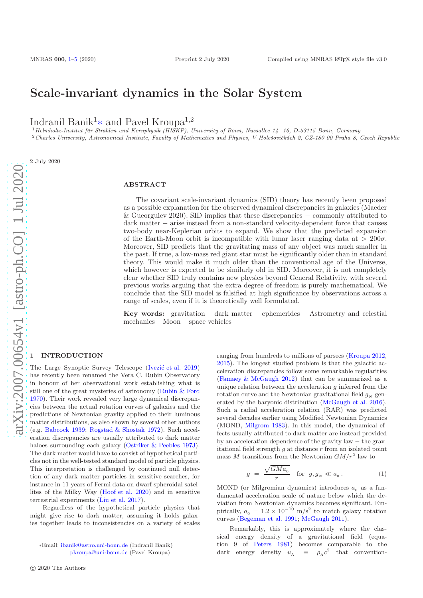# Scale-invariant dynamics in the Solar System

Indranil Banik<sup>1</sup>∗ and Pavel Kroupa<sup>1</sup>,<sup>2</sup>

 $1$ Helmholtz-Institut für Strahlen und Kernphysik (HISKP), University of Bonn, Nussallee 14−16, D-53115 Bonn, Germany <sup>2</sup>Charles University, Astronomical Institute, Faculty of Mathematics and Physics, V Holešovičkách 2, CZ-180 00 Praha 8, Czech Republic

2 July 2020

## ABSTRACT

The covariant scale-invariant dynamics (SID) theory has recently been proposed as a possible explanation for the observed dynamical discrepancies in galaxies (Maeder & Gueorguiev 2020). SID implies that these discrepancies − commonly attributed to dark matter − arise instead from a non-standard velocity-dependent force that causes two-body near-Keplerian orbits to expand. We show that the predicted expansion of the Earth-Moon orbit is incompatible with lunar laser ranging data at  $> 200\sigma$ . Moreover, SID predicts that the gravitating mass of any object was much smaller in the past. If true, a low-mass red giant star must be significantly older than in standard theory. This would make it much older than the conventional age of the Universe, which however is expected to be similarly old in SID. Moreover, it is not completely clear whether SID truly contains new physics beyond General Relativity, with several previous works arguing that the extra degree of freedom is purely mathematical. We conclude that the SID model is falsified at high significance by observations across a range of scales, even if it is theoretically well formulated.

Key words: gravitation – dark matter – ephemerides – Astrometry and celestial mechanics – Moon – space vehicles

## <span id="page-0-0"></span>**INTRODUCTION**

The Large Synoptic Survey Telescope (Ivezić et al. 2019) has recently been renamed the Vera C. Rubin Observatory in honour of her observational work establishing what is still one of the great mysteries of astronomy [\(Rubin & Ford](#page-4-1) [1970](#page-4-1)). Their work revealed very large dynamical discrepancies between the actual rotation curves of galaxies and the predictions of Newtonian gravity applied to their luminous matter distributions, as also shown by several other authors (e.g. [Babcock 1939](#page-3-1); [Rogstad & Shostak 1972\)](#page-4-2). Such acceleration discrepancies are usually attributed to dark matter haloes surrounding each galaxy [\(Ostriker & Peebles 1973](#page-4-3)). The dark matter would have to consist of hypothetical particles not in the well-tested standard model of particle physics. This interpretation is challenged by continued null detection of any dark matter particles in sensitive searches, for instance in 11 years of Fermi data on dwarf spheroidal satellites of the Milky Way [\(Hoof et al. 2020](#page-4-4)) and in sensitive terrestrial experiments [\(Liu et al. 2017](#page-4-5)).

Regardless of the hypothetical particle physics that might give rise to dark matter, assuming it holds galaxies together leads to inconsistencies on a variety of scales

ranging from hundreds to millions of parsecs [\(Kroupa 2012,](#page-4-6) [2015](#page-4-7)). The longest studied problem is that the galactic acceleration discrepancies follow some remarkable regularities [\(Famaey & McGaugh 2012\)](#page-4-8) that can be summarized as a unique relation between the acceleration  $q$  inferred from the rotation curve and the Newtonian gravitational field  $q_N$  generated by the baryonic distribution [\(McGaugh et al. 2016](#page-4-9)). Such a radial acceleration relation (RAR) was predicted several decades earlier using Modified Newtonian Dynamics (MOND, [Milgrom 1983\)](#page-4-10). In this model, the dynamical effects usually attributed to dark matter are instead provided by an acceleration dependence of the gravity law − the gravitational field strength  $g$  at distance  $r$  from an isolated point mass M transitions from the Newtonian  $GM/r^2$  law to

$$
g = \frac{\sqrt{GMa_0}}{r} \quad \text{for} \quad g, g_N \ll a_0 \,. \tag{1}
$$

MOND (or Milgromian dynamics) introduces  $a_0$  as a fundamental acceleration scale of nature below which the deviation from Newtonian dynamics becomes significant. Empirically,  $a_0 = 1.2 \times 10^{-10}$  m/s<sup>2</sup> to match galaxy rotation curves [\(Begeman et al. 1991](#page-3-2); [McGaugh 2011\)](#page-4-11).

Remarkably, this is approximately where the classical energy density of a gravitational field (equation 9 of [Peters 1981](#page-4-12)) becomes comparable to the dark energy density  $u_{\Lambda}$   $\equiv \rho_{\Lambda} c^2$  that convention-

<sup>∗</sup>Email: [ibanik@astro.uni-bonn.de](mailto:ibanik@astro.uni-bonn.de) (Indranil Banik) [pkroupa@uni-bonn.de](mailto:pavel@astro.uni-bonn.de) (Pavel Kroupa)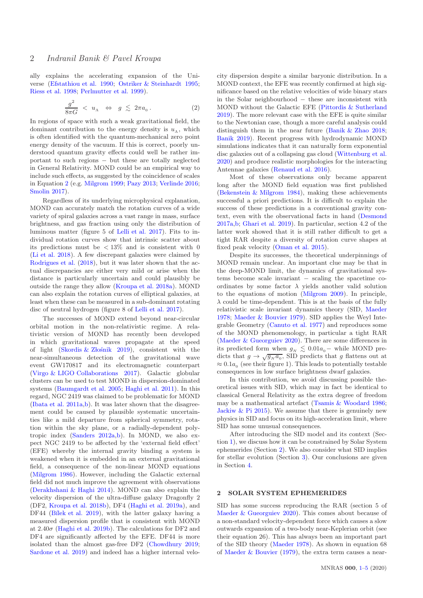ally explains the accelerating expansion of the Universe [\(Efstathiou et al. 1990](#page-4-13); [Ostriker & Steinhardt 1995;](#page-4-14) [Riess et al. 1998;](#page-4-15) [Perlmutter et al. 1999](#page-4-16)).

<span id="page-1-0"></span>
$$
\frac{g^2}{8\pi G} \, < u_{\Lambda} \quad \Leftrightarrow \quad g \, \lesssim \, 2\pi a_0 \, . \tag{2}
$$

In regions of space with such a weak gravitational field, the dominant contribution to the energy density is  $u_{\Lambda}$ , which is often identified with the quantum-mechanical zero point energy density of the vacuum. If this is correct, poorly understood quantum gravity effects could well be rather important to such regions − but these are totally neglected in General Relativity. MOND could be an empirical way to include such effects, as suggested by the coincidence of scales in Equation [2](#page-1-0) (e.g. [Milgrom 1999;](#page-4-17) [Pazy 2013](#page-4-18); [Verlinde 2016;](#page-4-19) [Smolin 2017](#page-4-20)).

Regardless of its underlying microphysical explanation, MOND can accurately match the rotation curves of a wide variety of spiral galaxies across a vast range in mass, surface brightness, and gas fraction using only the distribution of luminous matter (figure 5 of [Lelli et al. 2017](#page-4-21)). Fits to individual rotation curves show that intrinsic scatter about its predictions must be  $\langle 13\% \rangle$  and is consistent with 0 [\(Li et al. 2018](#page-4-22)). A few discrepant galaxies were claimed by [Rodrigues et al.](#page-4-23) [\(2018](#page-4-23)), but it was later shown that the actual discrepancies are either very mild or arise when the distance is particularly uncertain and could plausibly be outside the range they allow [\(Kroupa et al. 2018a](#page-4-24)). MOND can also explain the rotation curves of elliptical galaxies, at least when these can be measured in a sub-dominant rotating disc of neutral hydrogen (figure 8 of [Lelli et al. 2017](#page-4-21)).

The successes of MOND extend beyond near-circular orbital motion in the non-relativistic regime. A relativistic version of MOND has recently been developed in which gravitational waves propagate at the speed of light (Skordis & Złośnik 2019), consistent with the near-simultaneous detection of the gravitational wave event GW170817 and its electromagnetic counterpart [\(Virgo & LIGO Collaborations 2017\)](#page-4-26). Galactic globular clusters can be used to test MOND in dispersion-dominated systems [\(Baumgardt et al. 2005](#page-3-3); [Haghi et al. 2011](#page-4-27)). In this regard, NGC 2419 was claimed to be problematic for MOND [\(Ibata et al. 2011a](#page-4-28)[,b](#page-4-29)). It was later shown that the disagreement could be caused by plausible systematic uncertainties like a mild departure from spherical symmetry, rotation within the sky plane, or a radially-dependent polytropic index (Sanders  $2012a,b$  $2012a,b$ ). In MOND, we also expect NGC 2419 to be affected by the 'external field effect' (EFE) whereby the internal gravity binding a system is weakened when it is embedded in an external gravitational field, a consequence of the non-linear MOND equations [\(Milgrom 1986](#page-4-32)). However, including the Galactic external field did not much improve the agreement with observations [\(Derakhshani & Haghi 2014](#page-4-33)). MOND can also explain the velocity dispersion of the ultra-diffuse galaxy Dragonfly 2 (DF2, [Kroupa et al. 2018b\)](#page-4-34), DF4 [\(Haghi et al. 2019a](#page-4-35)), and DF44 (Bílek et al. 2019), with the latter galaxy having a measured dispersion profile that is consistent with MOND at  $2.40\sigma$  [\(Haghi et al. 2019b\)](#page-4-36). The calculations for DF2 and DF4 are significantly affected by the EFE. DF44 is more isolated than the almost gas-free DF2 [\(Chowdhury 2019;](#page-4-37) [Sardone et al. 2019\)](#page-4-38) and indeed has a higher internal velo-

city dispersion despite a similar baryonic distribution. In a MOND context, the EFE was recently confirmed at high significance based on the relative velocities of wide binary stars in the Solar neighbourhood − these are inconsistent with MOND without the Galactic EFE [\(Pittordis & Sutherland](#page-4-39) [2019](#page-4-39)). The more relevant case with the EFE is quite similar to the Newtonian case, though a more careful analysis could distinguish them in the near future [\(Banik & Zhao 2018;](#page-3-5) [Banik 2019](#page-3-6)). Recent progress with hydrodynamic MOND simulations indicates that it can naturally form exponential disc galaxies out of a collapsing gas cloud [\(Wittenburg et al.](#page-4-40) [2020](#page-4-40)) and produce realistic morphologies for the interacting Antennae galaxies [\(Renaud et al. 2016](#page-4-41)).

Most of these observations only became apparent long after the MOND field equation was first published [\(Bekenstein & Milgrom 1984](#page-3-7)), making these achievements successful a priori predictions. It is difficult to explain the success of these predictions in a conventional gravity context, even with the observational facts in hand [\(Desmond](#page-4-42) [2017a](#page-4-42)[,b;](#page-4-43) [Ghari et al. 2019](#page-4-44)). In particular, section 4.2 of the latter work showed that it is still rather difficult to get a tight RAR despite a diversity of rotation curve shapes at fixed peak velocity [\(Oman et al. 2015](#page-4-45)).

Despite its successes, the theoretical underpinnings of MOND remain unclear. An important clue may be that in the deep-MOND limit, the dynamics of gravitational systems become scale invariant − scaling the spacetime coordinates by some factor  $\lambda$  yields another valid solution to the equations of motion [\(Milgrom 2009](#page-4-46)). In principle,  $\lambda$  could be time-dependent. This is at the basis of the fully relativistic scale invariant dynamics theory (SID, [Maeder](#page-4-47) [1978](#page-4-47); [Maeder & Bouvier 1979\)](#page-4-48). SID applies the Weyl Integrable Geometry [\(Canuto et al. 1977](#page-3-8)) and reproduces some of the MOND phenomenology, in particular a tight RAR [\(Maeder & Gueorguiev 2020\)](#page-4-49). There are some differences in its predicted form when  $g_N \lesssim 0.01a_0$  – while MOND predicts that  $g \to \sqrt{g_N a_0}$ , SID predicts that g flattens out at  $\approx 0.1a_0$  (see their figure 1). This leads to potentially testable consequences in low surface brightness dwarf galaxies.

In this contribution, we avoid discussing possible theoretical issues with SID, which may in fact be identical to classical General Relativity as the extra degree of freedom may be a mathematical artefact [\(Tsamis & Woodard 1986;](#page-4-50) [Jackiw & Pi 2015](#page-4-51)). We assume that there is genuinely new physics in SID and focus on its high-acceleration limit, where SID has some unusual consequences.

After introducing the SID model and its context (Section [1\)](#page-0-0), we discuss how it can be constrained by Solar System ephemerides (Section [2\)](#page-1-1). We also consider what SID implies for stellar evolution (Section [3\)](#page-2-0). Our conclusions are given in Section [4.](#page-3-0)

## <span id="page-1-1"></span>2 SOLAR SYSTEM EPHEMERIDES

SID has some success reproducing the RAR (section 5 of [Maeder & Gueorguiev 2020](#page-4-49)). This comes about because of a non-standard velocity-dependent force which causes a slow outwards expansion of a two-body near-Keplerian orbit (see their equation 26). This has always been an important part of the SID theory [\(Maeder 1978](#page-4-47)). As shown in equation 68 of [Maeder & Bouvier](#page-4-48) [\(1979\)](#page-4-48), the extra term causes a near-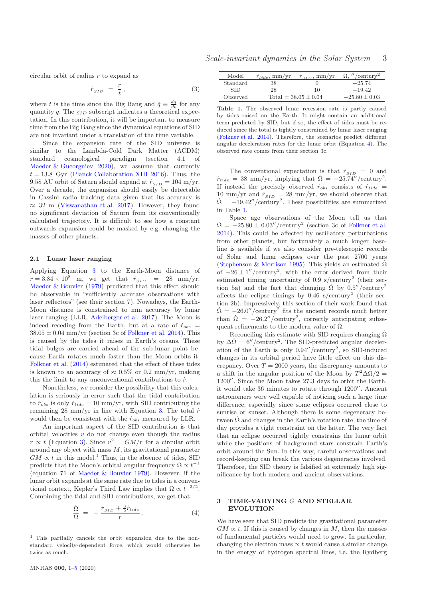Scale-invariant dynamics in the Solar System 3

circular orbit of radius r to expand as

<span id="page-2-1"></span>
$$
\dot{r}_{SID} = \frac{r}{t},\tag{3}
$$

where t is the time since the Big Bang and  $\dot{q} \equiv \frac{dq}{dt}$  for any quantity  $q$ . The  $_{SID}$  subscript indicates a theoretical expectation. In this contribution, it will be important to measure time from the Big Bang since the dynamical equations of SID are not invariant under a translation of the time variable.

Since the expansion rate of the SID universe is similar to the Lambda-Cold Dark Matter (ΛCDM) standard cosmological paradigm (section 4.1 of [Maeder & Gueorguiev 2020](#page-4-49)), we assume that currently  $t = 13.8$  Gyr [\(Planck Collaboration XIII 2016\)](#page-4-52). Thus, the 9.58 AU orbit of Saturn should expand at  $\dot{r}_{SID} = 104$  m/yr. Over a decade, the expansion should easily be detectable in Cassini radio tracking data given that its accuracy is  $\approx$  32 m [\(Viswanathan et al. 2017](#page-4-53)). However, they found no significant deviation of Saturn from its conventionally calculated trajectory. It is difficult to see how a constant outwards expansion could be masked by e.g. changing the masses of other planets.

#### <span id="page-2-4"></span>2.1 Lunar laser ranging

Applying Equation [3](#page-2-1) to the Earth-Moon distance of  $r = 3.84 \times 10^8$  m, we get that  $\dot{r}_{SID}$  = 28 mm/yr. [Maeder & Bouvier](#page-4-48) [\(1979](#page-4-48)) predicted that this effect should be observable in "sufficiently accurate observations with laser reflectors" (see their section 7). Nowadays, the Earth-Moon distance is constrained to mm accuracy by lunar laser ranging (LLR, [Adelberger et al. 2017](#page-3-9)). The Moon is indeed receding from the Earth, but at a rate of  $\dot{r}_{obs}$  =  $38.05 \pm 0.04$  mm/yr (section 3c of [Folkner et al. 2014](#page-4-54)). This is caused by the tides it raises in Earth's oceans. These tidal bulges are carried ahead of the sub-lunar point because Earth rotates much faster than the Moon orbits it. [Folkner et al.](#page-4-54) [\(2014](#page-4-54)) estimated that the effect of these tides is known to an accuracy of  $\approx 0.5\%$  or 0.2 mm/yr, making this the limit to any unconventional contributions to  $\dot{r}$ .

Nonetheless, we consider the possibility that this calculation is seriously in error such that the tidal contribution to  $\dot{r}_{obs}$  is only  $\dot{r}_{tide} = 10$  mm/yr, with SID contributing the remaining 28 mm/yr in line with Equation [3.](#page-2-1) The total  $\dot{r}$ would then be consistent with the  $\dot{r}_{obs}$  measured by LLR.

An important aspect of the SID contribution is that orbital velocities  $v$  do not change even though the radius  $r \propto t$  (Equation [3\)](#page-2-1). Since  $v^2 = GM/r$  for a circular orbit around any object with mass M, its gravitational parameter  $GM \propto t$  in this model.<sup>1</sup> Thus, in the absence of tides, SID predicts that the Moon's orbital angular frequency  $\Omega \propto t^{-1}$ (equation 71 of [Maeder & Bouvier 1979](#page-4-48)). However, if the lunar orbit expands at the same rate due to tides in a conventional context, Kepler's Third Law implies that  $\Omega \propto t^{-3/2}$ . Combining the tidal and SID contributions, we get that

<span id="page-2-2"></span>
$$
\frac{\dot{\Omega}}{\Omega} = -\frac{\dot{r}_{SID} + \frac{3}{2}\dot{r}_{tide}}{r} \,. \tag{4}
$$

<sup>1</sup> This partially cancels the orbit expansion due to the nonstandard velocity-dependent force, which would otherwise be twice as much.

| Model    | $r_{tide}$ , mm/yr | $r_{\scriptscriptstyle \rm SID}$ , mm/yr | $\mu$ /century <sup>2</sup> |
|----------|--------------------|------------------------------------------|-----------------------------|
| Standard | 38                 |                                          | $-25.74$                    |
| SID      | 28                 | 10                                       | $-19.42$                    |
| Observed |                    | Total = $38.05 \pm 0.04$                 | $-25.80 \pm 0.03$           |

<span id="page-2-3"></span>Table 1. The observed lunar recession rate is partly caused by tides raised on the Earth. It might contain an additional term predicted by SID, but if so, the effect of tides must be reduced since the total is tightly constrained by lunar laser ranging [\(Folkner et al. 2014\)](#page-4-54). Therefore, the scenarios predict different angular deceleration rates for the lunar orbit (Equation [4\)](#page-2-2). The observed rate comes from their section 3c.

The conventional expectation is that  $\dot{r}_{SID} = 0$  and  $\dot{r}_{tide} = 38$  mm/yr, implying that  $\dot{\Omega} = -25.74''/\text{century}^2$ . If instead the precisely observed  $\dot{r}_{obs}$  consists of  $\dot{r}_{tide}$  = 10 mm/yr and  $\dot{r}_{SID} = 28$  mm/yr, we should observe that  $\dot{\Omega} = -19.42''/\text{century}^2$ . These possibilities are summarized in Table [1.](#page-2-3)

Space age observations of the Moon tell us that  $\dot{\Omega} = -25.80 \pm 0.03''/$ century<sup>2</sup> (section 3c of [Folkner et al.](#page-4-54) [2014](#page-4-54)). This could be affected by oscillatory perturbations from other planets, but fortunately a much longer baseline is available if we also consider pre-telescopic records of Solar and lunar eclipses over the past 2700 years [\(Stephenson & Morrison 1995](#page-4-55)). This yields an estimated  $\Omega$ of  $-26 \pm 1''$ /century<sup>2</sup>, with the error derived from their estimated timing uncertainty of  $0.9 \text{ s/century}^2$  (their section 5a) and the fact that changing  $\Omega$  by  $0.5''$ /century<sup>2</sup> affects the eclipse timings by  $0.46$  s/century<sup>2</sup> (their section 2b). Impressively, this section of their work found that  $\dot{\Omega} = -26.0''/\text{century}^2$  fits the ancient records much better than  $\Omega = -26.2''/century^2$ , correctly anticipating subsequent refinements to the modern value of  $\dot{\Omega}$ .

Reconciling this estimate with SID requires changing  $\Omega$ by  $\Delta \dot{\Omega} = 6''/century^2$ . The SID-predicted angular deceleration of the Earth is only 0.94′′/century<sup>2</sup> , so SID-induced changes in its orbital period have little effect on this discrepancy. Over  $T = 2000$  years, the discrepancy amounts to a shift in the angular position of the Moon by  $T^2 \Delta \dot{\Omega}/2 =$ 1200′′. Since the Moon takes 27.3 days to orbit the Earth, it would take 36 minutes to rotate through 1200′′. Ancient astronomers were well capable of noticing such a large time difference, especially since some eclipses occurred close to sunrise or sunset. Although there is some degeneracy between  $\Omega$  and changes in the Earth's rotation rate, the time of day provides a tight constraint on the latter. The very fact that an eclipse occurred tightly constrains the lunar orbit while the positions of background stars constrain Earth's orbit around the Sun. In this way, careful observations and record-keeping can break the various degeneracies involved. Therefore, the SID theory is falsified at extremely high significance by both modern and ancient observations.

## <span id="page-2-0"></span>3 TIME-VARYING G AND STELLAR EVOLUTION

We have seen that SID predicts the gravitational parameter  $GM \propto t$ . If this is caused by changes in M, then the masses of fundamental particles would need to grow. In particular, changing the electron mass  $\propto t$  would cause a similar change in the energy of hydrogen spectral lines, i.e. the Rydberg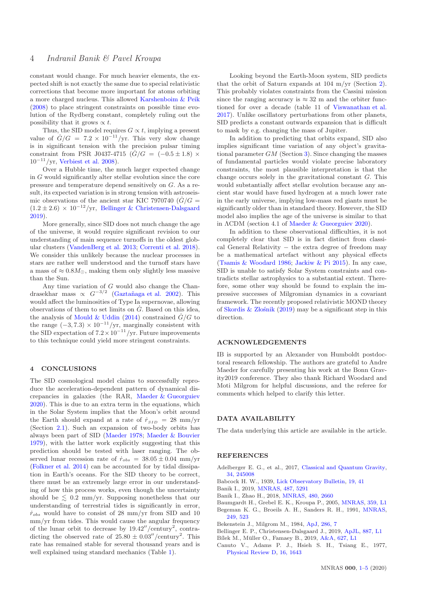constant would change. For much heavier elements, the expected shift is not exactly the same due to special relativistic corrections that become more important for atoms orbiting a more charged nucleus. This allowed [Karshenboim & Peik](#page-4-56) [\(2008](#page-4-56)) to place stringent constraints on possible time evolution of the Rydberg constant, completely ruling out the possibility that it grows  $\propto t$ .

Thus, the SID model requires  $G \propto t$ , implying a present value of  $\dot{G}/G = 7.2 \times 10^{-11}/yr$ . This very slow change is in significant tension with the precision pulsar timing constraint from PSR J0437-4715  $(\dot{G}/G = (-0.5 \pm 1.8) \times$  $10^{-11}/yr$ . [Verbiest et al. 2008](#page-4-57)).

Over a Hubble time, the much larger expected change in G would significantly alter stellar evolution since the core pressure and temperature depend sensitively on G. As a result, its expected variation is in strong tension with astroseismic observations of the ancient star KIC 7970740 ( $\dot{G}/G$  =  $(1.2 \pm 2.6) \times 10^{-12}$ /yr, [Bellinger & Christensen-Dalsgaard](#page-3-10) [2019](#page-3-10)).

More generally, since SID does not much change the age of the universe, it would require significant revision to our understanding of main sequence turnoffs in the oldest globular clusters [\(VandenBerg et al. 2013](#page-4-58); [Correnti et al. 2018](#page-4-59)). We consider this unlikely because the nuclear processes in stars are rather well understood and the turnoff stars have a mass of  $\approx 0.8M_{\odot}$ , making them only slightly less massive than the Sun.

Any time variation of G would also change the Chandrasekhar mass  $\propto G^{-3/2}$  (Gaztañaga et al. 2002). This would affect the luminosities of Type Ia supernovae, allowing observations of them to set limits on  $\dot{G}$ . Based on this idea, the analysis of [Mould & Uddin](#page-4-61) [\(2014\)](#page-4-61) constrained  $\dot{G}/G$  to the range  $(-3, 7.3) \times 10^{-11} / \text{yr}$ , marginally consistent with the SID expectation of  $7.2 \times 10^{-11}$ /yr. Future improvements to this technique could yield more stringent constraints.

## <span id="page-3-0"></span>4 CONCLUSIONS

The SID cosmological model claims to successfully reproduce the acceleration-dependent pattern of dynamical discrepancies in galaxies (the RAR, [Maeder & Gueorguiev](#page-4-49) [2020](#page-4-49)). This is due to an extra term in the equations, which in the Solar System implies that the Moon's orbit around the Earth should expand at a rate of  $\dot{r}_{SID} = 28$  mm/yr (Section [2.1\)](#page-2-4). Such an expansion of two-body orbits has always been part of SID [\(Maeder 1978](#page-4-47); [Maeder & Bouvier](#page-4-48) [1979](#page-4-48)), with the latter work explicitly suggesting that this prediction should be tested with laser ranging. The observed lunar recession rate of  $\dot{r}_{obs} = 38.05 \pm 0.04$  mm/yr [\(Folkner et al. 2014](#page-4-54)) can be accounted for by tidal dissipation in Earth's oceans. For the SID theory to be correct, there must be an extremely large error in our understanding of how this process works, even though the uncertainty should be  $\leq 0.2$  mm/yr. Supposing nonetheless that our understanding of terrestrial tides is significantly in error,  $\dot{r}_{obs}$  would have to consist of 28 mm/yr from SID and 10 mm/yr from tides. This would cause the angular frequency of the lunar orbit to decrease by  $19.42''/\text{century}^2$ , contradicting the observed rate of  $25.80 \pm 0.03''/century^2$ . This rate has remained stable for several thousand years and is well explained using standard mechanics (Table [1\)](#page-2-3).

Looking beyond the Earth-Moon system, SID predicts that the orbit of Saturn expands at 104 m/yr (Section [2\)](#page-1-1). This probably violates constraints from the Cassini mission since the ranging accuracy is  $\approx 32$  m and the orbiter functioned for over a decade (table 11 of [Viswanathan et al.](#page-4-53) [2017](#page-4-53)). Unlike oscillatory perturbations from other planets, SID predicts a constant outwards expansion that is difficult to mask by e.g. changing the mass of Jupiter.

In addition to predicting that orbits expand, SID also implies significant time variation of any object's gravitational parameter  $GM$  (Section [3\)](#page-2-0). Since changing the masses of fundamental particles would violate precise laboratory constraints, the most plausible interpretation is that the change occurs solely in the gravitational constant G. This would substantially affect stellar evolution because any ancient star would have fused hydrogen at a much lower rate in the early universe, implying low-mass red giants must be significantly older than in standard theory. However, the SID model also implies the age of the universe is similar to that in ΛCDM (section 4.1 of [Maeder & Gueorguiev 2020](#page-4-49)).

In addition to these observational difficulties, it is not completely clear that SID is in fact distinct from classical General Relativity − the extra degree of freedom may be a mathematical artefact without any physical effects [\(Tsamis & Woodard 1986](#page-4-50); [Jackiw & Pi 2015](#page-4-51)). In any case, SID is unable to satisfy Solar System constraints and contradicts stellar astrophysics to a substantial extent. Therefore, some other way should be found to explain the impressive successes of Milgromian dynamics in a covariant framework. The recently proposed relativistic MOND theory of Skordis  $&$  Złośnik [\(2019](#page-4-25)) may be a significant step in this direction.

#### ACKNOWLEDGEMENTS

IB is supported by an Alexander von Humboldt postdoctoral research fellowship. The authors are grateful to Andre Maeder for carefully presenting his work at the Bonn Gravity2019 conference. They also thank Richard Woodard and Moti Milgrom for helpful discussions, and the referee for comments which helped to clarify this letter.

#### DATA AVAILABILITY

The data underlying this article are available in the article.

#### **REFERENCES**

- <span id="page-3-9"></span>Adelberger E. G., et al., 2017, [Classical and Quantum Gravity,](http://dx.doi.org/10.1088/1361-6382/aa953b) [34, 245008](https://ui.adsabs.harvard.edu/abs/2017CQGra..34x5008A)
- <span id="page-3-1"></span>Babcock H. W., 1939, [Lick Observatory Bulletin,](http://dx.doi.org/10.5479/ADS/bib/1939LicOB.19.41B) [19, 41](http://adsabs.harvard.edu/abs/1939LicOB..19...41B)
- <span id="page-3-6"></span>Banik I., 2019, [MNRAS,](http://dx.doi.org/10.1093/mnras/stz1551) [487, 5291](https://ui.adsabs.harvard.edu/abs/2019MNRAS.487.5291B)
- <span id="page-3-5"></span>Banik I., Zhao H., 2018, [MNRAS,](http://dx.doi.org/10.1093/mnras/sty2007) [480, 2660](https://ui.adsabs.harvard.edu/#abs/2018MNRAS.480.2660B)
- <span id="page-3-3"></span>Baumgardt H., Grebel E. K., Kroupa P., 2005, [MNRAS,](http://dx.doi.org/10.1111/j.1745-3933.2005.00021.x) [359, L1](https://ui.adsabs.harvard.edu/abs/2005MNRAS.359L...1B)
- <span id="page-3-2"></span>Begeman K. G., Broeils A. H., Sanders R. H., 1991, [MNRAS,](http://dx.doi.org/10.1093/mnras/249.3.523) [249, 523](http://adsabs.harvard.edu/abs/1991MNRAS.249..523B)
- <span id="page-3-7"></span>Bekenstein J., Milgrom M., 1984, [ApJ,](http://dx.doi.org/10.1086/162570) [286, 7](http://adsabs.harvard.edu/abs/1984ApJ...286....7B)
- <span id="page-3-10"></span>Bellinger E. P., Christensen-Dalsgaard J., 2019, [ApJL,](http://dx.doi.org/10.3847/2041-8213/ab43e7) [887, L1](https://ui.adsabs.harvard.edu/abs/2019ApJ...887L...1B)
- <span id="page-3-4"></span>Bílek M., Müller O., Famaey B., 2019, [A&A,](http://dx.doi.org/10.1051/0004-6361/201935840) [627, L1](https://ui.adsabs.harvard.edu/abs/2019A&A...627L...1B)
- <span id="page-3-8"></span>Canuto V., Adams P. J., Hsieh S. H., Tsiang E., 1977, [Physical Review D,](http://dx.doi.org/10.1103/PhysRevD.16.1643) [16, 1643](https://ui.adsabs.harvard.edu/abs/1977PhRvD..16.1643C)